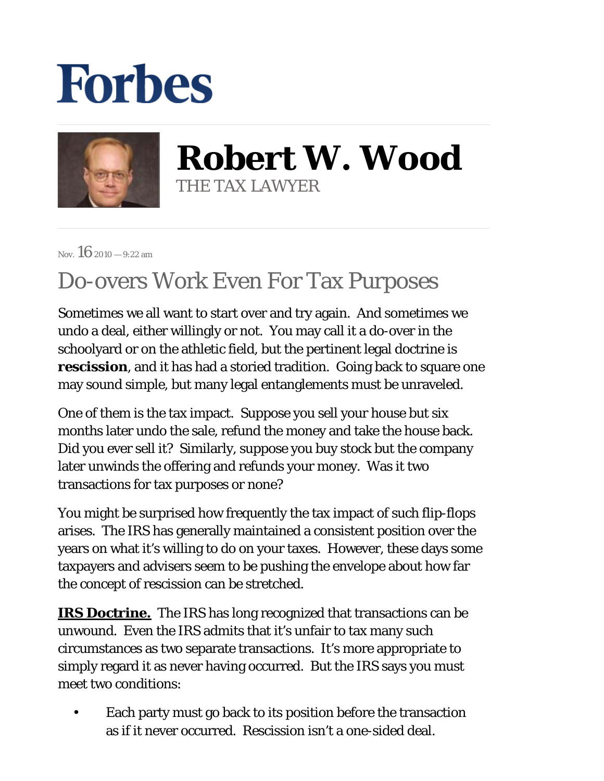## **Forbes**



**Robert W. Wood** THE TAX LAWYER

Nov.  $16_{2010} - 9:22$  am

## Do-overs Work Even For Tax Purposes

Sometimes we all want to start over and try again. And sometimes we undo a deal, either willingly or not. You may call it a do-over in the schoolyard or on the athletic field, but the pertinent legal doctrine is *rescission*, and it has had a storied tradition. Going back to square one may sound simple, but many legal entanglements must be unraveled.

One of them is the tax impact. Suppose you sell your house but six months later undo the sale, refund the money and take the house back. Did you ever sell it? Similarly, suppose you buy stock but the company later unwinds the offering and refunds your money. Was it two transactions for tax purposes or none?

You might be surprised how frequently the tax impact of such flip-flops arises. The IRS has generally maintained a consistent position over the years on what it's willing to do on your taxes. However, these days some taxpayers and advisers seem to be pushing the envelope about how far the concept of rescission can be stretched.

**IRS Doctrine.** The IRS has long recognized that transactions can be unwound. Even the IRS admits that it's unfair to tax many such circumstances as two separate transactions. It's more appropriate to simply regard it as never having occurred. But the IRS says you must meet two conditions:

Each party must go back to its position before the transaction as if it never occurred. Rescission isn't a one-sided deal. •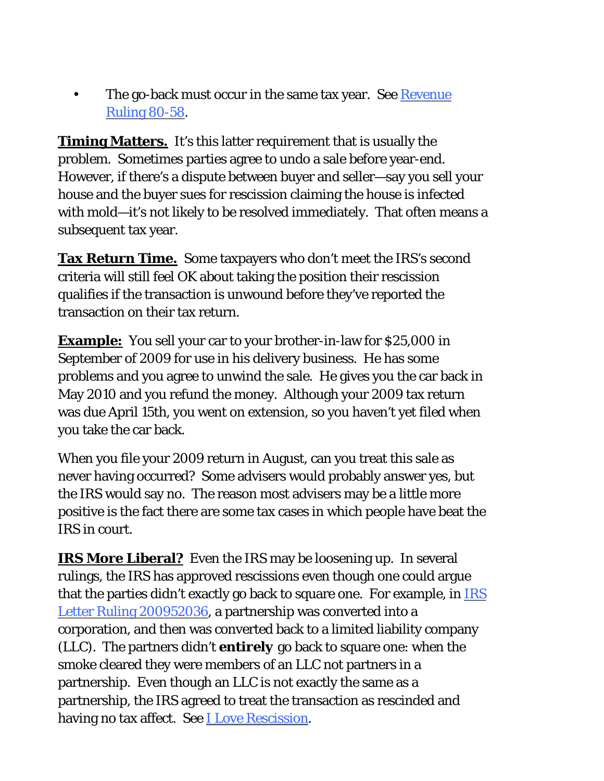The go-back must occur in the same tax year. See Revenue [Ruling 80-58.](http://www.woodporter.com/Publications/Articles/pdf/rev_rul_80_58.pdf) •

**Timing Matters.** It's this latter requirement that is usually the problem. Sometimes parties agree to undo a sale before year-end. However, if there's a dispute between buyer and seller—say you sell your house and the buyer sues for rescission claiming the house is infected with mold—it's not likely to be resolved immediately. That often means a subsequent tax year.

**Tax Return Time.** Some taxpayers who don't meet the IRS's second criteria will still feel OK about taking the position their rescission qualifies if the transaction is unwound before they've reported the transaction on their tax return.

**Example:** You sell your car to your brother-in-law for \$25,000 in September of 2009 for use in his delivery business. He has some problems and you agree to unwind the sale. He gives you the car back in May 2010 and you refund the money. Although your 2009 tax return was due April 15th, you went on extension, so you haven't yet filed when you take the car back.

When you file your 2009 return in August, can you treat this sale as never having occurred? Some advisers would probably answer yes, but the IRS would say no. The reason most advisers may be a little more positive is the fact there are some tax cases in which people have beat the IRS in court.

**IRS More Liberal?** Even the IRS may be loosening up. In several rulings, the IRS has approved rescissions even though one could argue that the parties didn't exactly go back to square one. For example, in [IRS](http://www.irs.gov/pub/irs-wd/0952036.pdf)  [Letter Ruling 200952036,](http://www.irs.gov/pub/irs-wd/0952036.pdf) a partnership was converted into a corporation, and then was converted back to a limited liability company (LLC). The partners didn't *entirely* go back to square one: when the smoke cleared they were members of an LLC not partners in a partnership. Even though an LLC is not exactly the same as a partnership, the IRS agreed to treat the transaction as rescinded and having no tax affect. See [I Love Rescission.](http://www.woodporter.com/Publications/Articles/pdf/I_Love_Rescission.pdf)